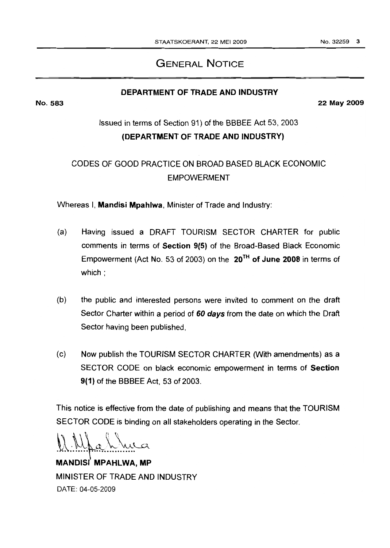# GENERAL NOTICE

## DEPARTMENT OF TRADE AND INDUSTRY

No. 583 22 May 2009

# Issued in terms of Section 91) of the BBBEE Act 53, 2003 (DEPARTMENT OF TRADE AND JNDUSTRY)

# CODES OF GOOD PRACTICE ON BROAD BASED BLACK ECONOMIC EMPOWERMENT

Whereas I, Mandisi Mpahlwa. Minister of Trade and Industry:

- (a) Having issued a DRAFT TOURISM SECTOR CHARTER for public comments in terms of Section 9(5) of the Broad-Based Black Economic Empowerment (Act No. 53 of 2003) on the  $20^{TH}$  of June 2008 in terms of which:
- (b) the public and interested persons were invited to comment on the draft Sector Charter within a period of 60 days from the date on which the Draft Sector having been published.
- (c) Now publish the TOURISM SECTOR CHARTER (With amendments) as a SECTOR CODE on black economic empowerment in terms of Section 9(1) of the BBBEE Act, 53 of 2003.

This notice is effective from the date of publishing and means that the TOURISM SECTOR CODE is binding on all stakeholders operating in the Sector.

 $\Lambda$  a h rue  $\lambda$ 

MANDISI MPAHLWA, MP MINISTER OF TRADE AND INDUSTRY DATE: 04-05-2009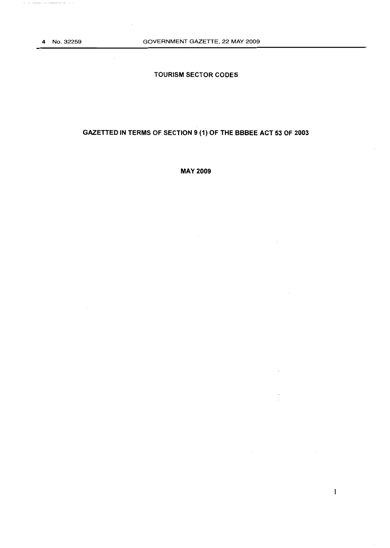## **TOURISM SECTOR CODES**

## **GAZETTED IN TERMS OF SECTION 9 (1) OF THE BBBEE ACT 53 OF 2003**

**MAY 2009**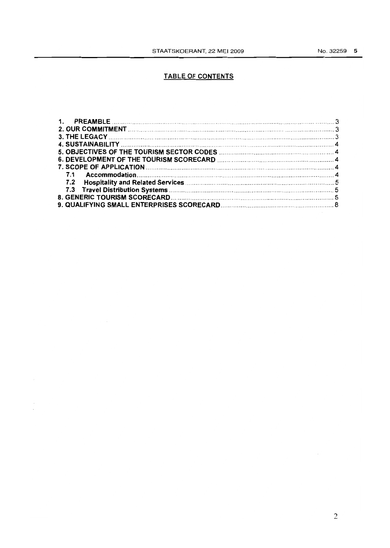## TABLE OF CONTENTS

| $\mathbf 1$ . |  |
|---------------|--|
|               |  |
|               |  |
|               |  |
|               |  |
|               |  |
|               |  |
| 7.1           |  |
|               |  |
|               |  |
|               |  |
|               |  |
|               |  |

 $\overline{\mathcal{E}}$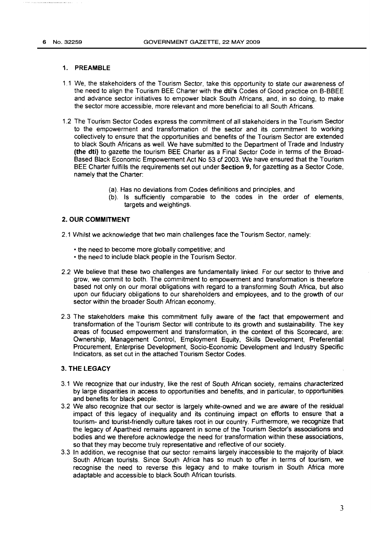#### 1. PREAMBLE

- 1.1 We, the stakeholders of the Tourism Sector, take this opportunity to state our awareness of the need to align the Tourism BEE Charter with the dti's Codes of Good practice on B-BBEE and advance sector initiatives to empower black South Africans, and, in so doing, to make the sector more accessible. more relevant and more beneficial to all South Africans.
- 1.2 The Tourism Sector Codes express the commitment of all stakeholders in the Tourism Sector to the empowerment and transformation of the sector and its commitment to working collectively to ensure that the opportunities and benefits of the Tourism Sector are extended to black South Africans as well. We have submitted to the Department of Trade and Industry (the dti) to gazette the tourism BEE Charter as a Final Sector Code in terms of the Broad-Based Black Economic Empowerment Act No 53 of 2003. We have ensured that the Tourism BEE Charter fulfills the requirements set out under Section 9, for gazetting as a Sector Code. namely that the Charter:
	- (a). Has no deviations from Codes definitions and principles. and
	- (b). Is sufficiently comparable to the codes in the order of elements, targets and weightings.

#### 2. OUR COMMITMENT

- 2.1 Whilst we acknowledge that two main challenges face the Tourism Sector, namely:
	- the need to become more globally competitive; and
	- the need to include black people in the Tourism Sector.
- 2.2 We believe that these two challenges are fundamentally linked. For our sector to thrive and grow, we commit to both. The commitment to empowerment and transformation is therefore based not only on our moral obligations with regard to a transforming South Africa, but also upon our fiduciary obligations to our shareholders and employees, and to the growth of our sector within the broader South African economy.
- 2.3 The stakeholders make this commitment fully aware of the fact that empowerment and transformation of the Tourism Sector will contribute to its growth and sustainability. The key areas of focused empowerment and transformation, in the context of this Scorecard, are: Ownership, Management Control, Employment Equity, Skills Development, Preferential Procurement, Enterprise Development, Socia-Economic Development and Industry Specific Indicators, as set out in the attached Tourism Sector Codes.

#### 3. THE LEGACY

- 3.1 We recognize that our industry, like the rest of South African society, remains characterized by large disparities in access to opportunities and benefits, and in particular, to opportunities. and benefits for black people.
- 3.2 We also recognize that our sector is largely white-owned and we are aware of the residual impact of this legacy of inequality and its continuing impact on efforts to ensure that a tourism- and tourist-friendly culture takes root in our country. Furthermore, we recognize that the legacy of Apartheid remains apparent in some of the Tourism Sector's associations and bodies and we therefore acknowledge the need for transformation within these associations, so that they may become truly representative and reflective of our society.
- 3.3 In addition, we recognise that our sector remains largely inaccessible to the majority of black South African tourists. Since South Africa has so much to offer in terms of tourism, we recognise the need to reverse this legacy and to make tourism in South Africa more adaptable and accessible to black South African tourists.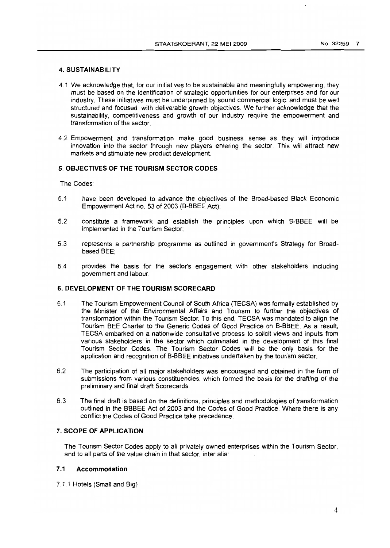#### 4. SUSTAINABILITY

- 4.1 We acknowledge that, for our initiatives to be sustainable and meaningfully empowering, they must be based on the identification of strategic opportunities for our enterprises and for our industry. These initiatives must be underpinned by sound commercial logic, and must be well structured and focused, with deliverable growth objectives. We further acknowledge that the sustainability, competitiveness and growth of our industry require the empowerment and transformation of the sector.
- 4.2 Empowerment and transformation make good business sense as they will introduce innovation into the sector through new players entering the sector. This will attract new markets and stimulate new product development.

#### 5. OBJECTIVES OF THE TOURISM SECTOR CODES

The Codes:

- 5.1 have been developed to advance the objectives of the Broad-based Black Economic Empowerment Act no. 53 of 2003 (B-BBEE Act);
- 5.2 constitute a framework and establish the principles upon which B-BBEE will be implemented in the Tourism Sector;
- 5.3 represents a partnership programme as outlined in government's Strategy for Broadbased BEE;
- 5.4 provides the basis for the sector's engagement with other stakeholders including government and labour.

### 6. DEVELOPMENT OF THE TOURISM SCORECARD

- 6.1 The Tourism Empowerment Council of South Africa (TECSA) was formally established by the Minister of the Environmental Affairs and Tourism to further the objectives of transformation within the Tourism Sector. To this end, TECSA was mandated to align the Tourism BEE Charter to the Generic Codes of Good Practice on B-BBEE. As a result, TECSA embarked on a nationwide consultative process to solicit views and inputs from various stakeholders in the sector which culminated in the development of this final Tourism Sector Codes. The Tourism Sector Codes will be the only basis for the application and recognition of B-BBEE initiatives undertaken by the tourism sector.
- 6.2 The partiCipation of all major stakeholders was encouraged and obtained in the form of submissions from various constituencies, which formed the basis for the drafting of the preliminary and final draft Scorecards.
- 6.3 The final draft is based on the definitions, principles and methodologies of transformation outlined in the BBBEE Act of 2003 and the Codes of Good Practice. Where there is any conflict the Codes of Good Practice take precedence.

#### 7. SCOPE OF APPLICATION

The Tourism Sector Codes apply to all privately owned enterprises within the Tourism Sector, and to all parts of the value chain in that sector. inter alia:

### 7.1 Accommodation

7.1.1 Hotels (Small and Big)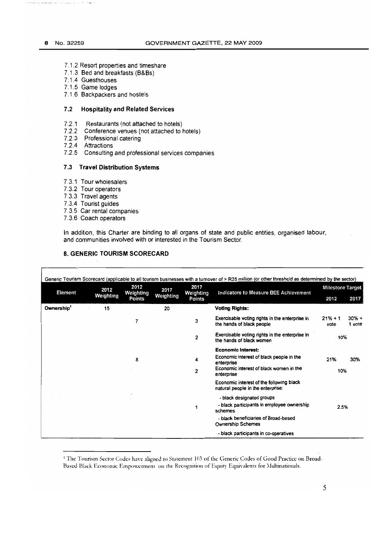- 7.1.2 Resort properties and timeshare
- 7.1.3 Bed and breakfasts (B&Bs)
- 7.1.4 Guesthouses
- 7.1.5 Game lodges
- 7.1.6 Backpackers and hostels

### 7.2 Hospitality and Related Services

- 7.2.1 Restaurants (not attached to hotels)
- 7.2.2 Conference venues (not attached to hotels)
- 7.2.3 Professional catering
- 7.2.4 Attractions
- 7.2.5 Consulting and professional services companies

#### 7.3 Travel Distribution Systems

- 7.3.1 Tourwholesalers
- 7.3.2 Tour operators
- 7.3.3 Travel agents
- 7.3.4 Tourist guides
- 7.3.5 Car rental companies
- 7.3.6 Coach operators

 $\mathsf{r}$ 

In addition, this Charter are binding to all organs of state and public entities, organised labour, and communities involved with or interested in the Tourism Sector.

#### 8. GENERIC TOURISM SCORECARD

| <b>Element</b> | 2012      | 2012                | 2017<br>Weighting | 2017<br>Weighting<br>Points | Generic Tourism Scorecard (applicable to all tourism businesses with a turnover of > R35 million (or other threshold as determined by the sector)<br>Indicators to Measure BEE Achievement | Milestone Target  |                   |
|----------------|-----------|---------------------|-------------------|-----------------------------|--------------------------------------------------------------------------------------------------------------------------------------------------------------------------------------------|-------------------|-------------------|
|                | Weighting | Weighting<br>Points |                   |                             |                                                                                                                                                                                            | 2012              | 2017              |
| Ownership'     | 15        |                     | 20                |                             | <b>Voting Rights:</b>                                                                                                                                                                      |                   |                   |
|                |           | 7                   |                   | 3                           | Exercisable voting rights in the enterprise in<br>the hands of black people                                                                                                                | $21% + 1$<br>vote | $30% +$<br>1 vote |
|                |           |                     |                   | 2                           | Exercisable voting rights in the enterprise in<br>the hands of black women                                                                                                                 | 10%               |                   |
|                |           |                     |                   |                             | <b>Economic Interest:</b>                                                                                                                                                                  |                   |                   |
|                |           | 8                   |                   | 4                           | Economic interest of black people in the<br>enterprise                                                                                                                                     | 21%               | 30%               |
|                |           |                     |                   | 2                           | Economic interest of black women in the<br>enterprise                                                                                                                                      | 10%               |                   |
|                |           |                     |                   |                             | Economic interest of the following black<br>natural people in the enterprise:                                                                                                              |                   |                   |
|                |           |                     |                   |                             | - black designated groups                                                                                                                                                                  |                   |                   |
|                |           |                     |                   | 1                           | - black participants in employee ownership<br>schemes                                                                                                                                      | 2.5%              |                   |
|                |           |                     |                   |                             | - black beneficiaries of Broad-based<br><b>Ownership Schemes</b>                                                                                                                           |                   |                   |
|                |           |                     |                   |                             | - black participants in co-operatives                                                                                                                                                      |                   |                   |

<sup>1</sup> The Tourism Sector Codes have aligned to Statement 103 of the Generic Codes of Good Practice on Broad-Based Black Economic Empowerment on the Recognition of Equity Equivalents for Multinationals.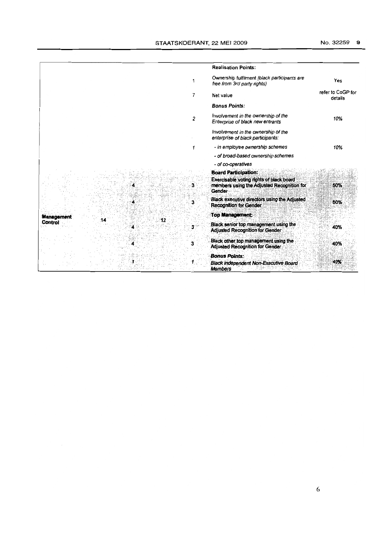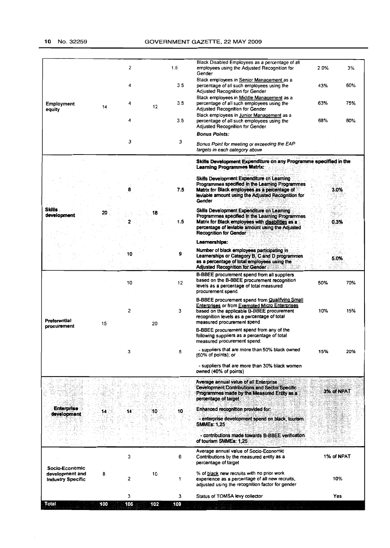|                                                               |    | 2  |    | 1.5 | Black Disabled Employees as a percentage of all<br>employees using the Adjusted Recognition for<br>Gender                                                                                                                               | 2.0%       | 3%  |
|---------------------------------------------------------------|----|----|----|-----|-----------------------------------------------------------------------------------------------------------------------------------------------------------------------------------------------------------------------------------------|------------|-----|
|                                                               |    | 4  |    | 3.5 | Black employees in Senior Management as a<br>percentage of all such employees using the<br><b>Adjusted Recognition for Gender</b>                                                                                                       | 43%        | 60% |
| <b>Employment</b><br>equity                                   | 14 | 4  | 12 | 3.5 | Black employees in Middle Management as a<br>percentage of all such employees using the<br><b>Adjusted Recognition for Gender</b>                                                                                                       | 63%        | 75% |
|                                                               |    | 4  |    | 3.5 | Black employees in Junior Management as a<br>percentage of all such employees using the<br>Adjusted Recognition for Gender                                                                                                              | 68%        | 80% |
|                                                               |    | З  |    | Э   | <b>Bonus Points:</b><br>Bonus Point for meeting or exceeding the EAP<br>targets in each category above                                                                                                                                  |            |     |
|                                                               |    |    |    |     | Skills Development Expenditure on any Programme specified in the<br><b>Learning Programmes Matrix:</b>                                                                                                                                  |            |     |
|                                                               |    |    |    | 7.5 | Skills Development Expenditure on Learning<br>Programmes specified in the Learning Programmes<br>Matrix for Black employees as a percentage of<br>leviable amount using the Adjusted Recognition for<br>Gender                          | 3.0%       |     |
| <b>Skills</b><br>development                                  | 20 |    | 18 | 1.5 | Skills Development Expenditure on Learning<br>Programmes specified in the Learning Programmes<br>Matrix for Black employees with disabilities as a<br>percentage of leviable amount using the Adjusted<br><b>Recognition for Gender</b> | 0.3%       |     |
|                                                               |    |    |    |     | Learnerships:                                                                                                                                                                                                                           |            |     |
|                                                               |    | 10 |    | 9   | Number of black employees participating in<br>Learnerships or Category B. C and D programmes<br>as a percentage of total employees using the<br><b>Adjusted Recognition for Gender</b>                                                  | 5.0%       |     |
|                                                               |    | 10 |    | 12  | B-BBEE procurement spend from all suppliers<br>based on the B-BBEE procurement recognition<br>levels as a percentage of total measured<br>procurement spend                                                                             | 50%        | 70% |
| Preferential                                                  | 15 | 2  | 20 | з   | B-BBEE procurement spend from Qualifying Small<br>Enterprises or from Exempted Micro Enterprises<br>based on the applicable B-BBEE procurement<br>recognition levels as a percentage of total<br>measured procurement spend             | 10%        | 15% |
| procurement                                                   |    |    |    |     | B-BBEE procurement spend from any of the<br>following suppliers as a percentage of total<br>measured procurement spend:                                                                                                                 |            |     |
|                                                               |    | з  |    | 5   | - suppliers that are more than 50% black owned<br>$(60\% \text{ of points})$ ; or                                                                                                                                                       | 15%        | 20% |
|                                                               |    |    |    |     | - suppliers that are more than 30% black women<br>owned (40% of points)                                                                                                                                                                 |            |     |
|                                                               |    |    |    |     | Average annual value of all Enterprise<br><b>Development Contributions and Sector Specific</b><br>Programmes made by the Measured Entity as a<br>percentage of target                                                                   | 3% of NPAT |     |
| <b>Enterprise</b>                                             |    |    |    |     | Enhanced recognition provided for:                                                                                                                                                                                                      |            |     |
| development                                                   | 14 | 14 | 10 | 10  | enterprise development spend on black, tourism<br><b>SMMEs: 1,25</b>                                                                                                                                                                    |            |     |
|                                                               |    |    |    |     | - contributions made towards B-BBEE verification<br>of tourism SMMEs: 1,25                                                                                                                                                              |            |     |
|                                                               |    | 3  |    | 6   | Average annual value of Socio-Economic<br>Contributions by the measured entity as a<br>percentage of target                                                                                                                             | 1% of NPAT |     |
| Socio-Economic<br>development and<br><b>Industry Specific</b> | 8  | 2  | 10 | 1   | % of black new recruits with no prior work<br>experience as a percentage of all new recruits,<br>adjusted using the recognition factor for gender                                                                                       | 10%        |     |
|                                                               |    |    |    |     |                                                                                                                                                                                                                                         |            |     |
|                                                               |    | 3  |    | 3   | Status of TOMSA levy collector                                                                                                                                                                                                          | Yes        |     |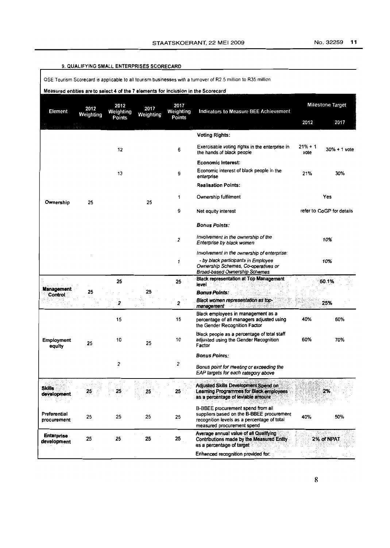### 9. QUALIFYING SMALL ENTERPRISES SCORECARD

QSE Tourism Scorecard is applicable to all tourism businesses with a turnover of R2.5 million to R35 million.

| Measured entities are to select 4 of the 7 elements for inclusion in the Scorecard |  |
|------------------------------------------------------------------------------------|--|
|                                                                                    |  |

| Element                      | 2012<br>Weighting | 2012<br>Weighting | 2017<br>Weighting | 2017<br>Weighting | <b>Indicators to Measure BEE Achievement</b><br>Points                                                                                                      | <b>Milestone Target</b> |                           |
|------------------------------|-------------------|-------------------|-------------------|-------------------|-------------------------------------------------------------------------------------------------------------------------------------------------------------|-------------------------|---------------------------|
|                              |                   | Points            |                   |                   |                                                                                                                                                             | 2012                    | 2017                      |
|                              |                   |                   |                   |                   | <b>Voting Rights:</b>                                                                                                                                       |                         |                           |
|                              |                   | 12                |                   | 6                 | Exercisable voting rights in the enterprise in<br>the hands of black people                                                                                 | $21% + 1$<br>vote       | $30\% + 1$ vote           |
|                              |                   |                   |                   |                   | <b>Economic Interest:</b>                                                                                                                                   |                         |                           |
|                              |                   | 13                |                   | 9                 | Economic interest of black people in the<br>enterprise                                                                                                      | 21%                     | 30%                       |
|                              |                   |                   |                   |                   | <b>Realisation Points:</b>                                                                                                                                  |                         |                           |
| Ownership                    | 25                |                   | 25                | 1                 | Ownership fulfilment                                                                                                                                        |                         | Yes                       |
|                              |                   |                   |                   | 9                 | Net equity interest                                                                                                                                         |                         | refer to CoGP for details |
|                              |                   |                   |                   |                   | <b>Bonus Points:</b>                                                                                                                                        |                         |                           |
|                              |                   |                   |                   | 2                 | Involvement in the ownership of the<br>Enterprise by black women                                                                                            |                         | 10%                       |
|                              |                   |                   |                   |                   | Involvement in the ownership of enterprise:                                                                                                                 |                         |                           |
|                              |                   |                   |                   | 1                 | - by black participants in Employee<br>Ownership Schemes, Co-operatives or<br><b>Broad-based Ownership Schemes</b>                                          |                         | 10%                       |
|                              |                   | 25                |                   | 25                | <b>Black representation at Top Management</b><br>level                                                                                                      |                         | 50.1%                     |
| <b>Management</b><br>Control | 25                |                   | 25                |                   | <b>Bonus Points:</b>                                                                                                                                        |                         |                           |
|                              |                   | 2                 |                   | 2                 | Black women representation as top-<br>management                                                                                                            |                         | 25%                       |
|                              |                   | 15                |                   | 15                | Black employees in management as a<br>percentage of all managers adjusted using<br>the Gender Recognition Factor                                            | 40%                     | 60%                       |
| <b>Employment</b><br>equity  | 25                | 10                | 25                | 10                | Black people as a percentage of total staff<br>adjusted using the Gender Recognition<br>Factor                                                              | 60%                     | 70%                       |
|                              |                   |                   |                   |                   | <b>Bonus Points:</b>                                                                                                                                        |                         |                           |
|                              |                   | 2                 |                   | 2                 | Bonus point for meeting or exceeding the<br>EAP targets for each category above                                                                             |                         |                           |
| <b>Skills</b><br>development | 25                | 25                | 25                | 25                | Adjusted Skills Development Spend on<br>Learning Programmes for Black employees<br>as a percentage of leviable amount                                       |                         | 2%                        |
| Preferential<br>procurement  | 25                | 25                | 25                | 25                | B-BBEE procurement spend from all<br>suppliers based on the B-BBEE procurement<br>recognition levels as a percentage of total<br>measured procurement spend | 40%                     | 50%                       |
| Enterprise<br>development    | 25                | 25                | 25                | 25                | Average annual value of all Qualifying<br>Contributions made by the Measured Entity<br>as a percentage of target                                            |                         | 2% of NPAT                |
|                              |                   |                   |                   |                   | Enhanced recognition provided for:                                                                                                                          |                         |                           |